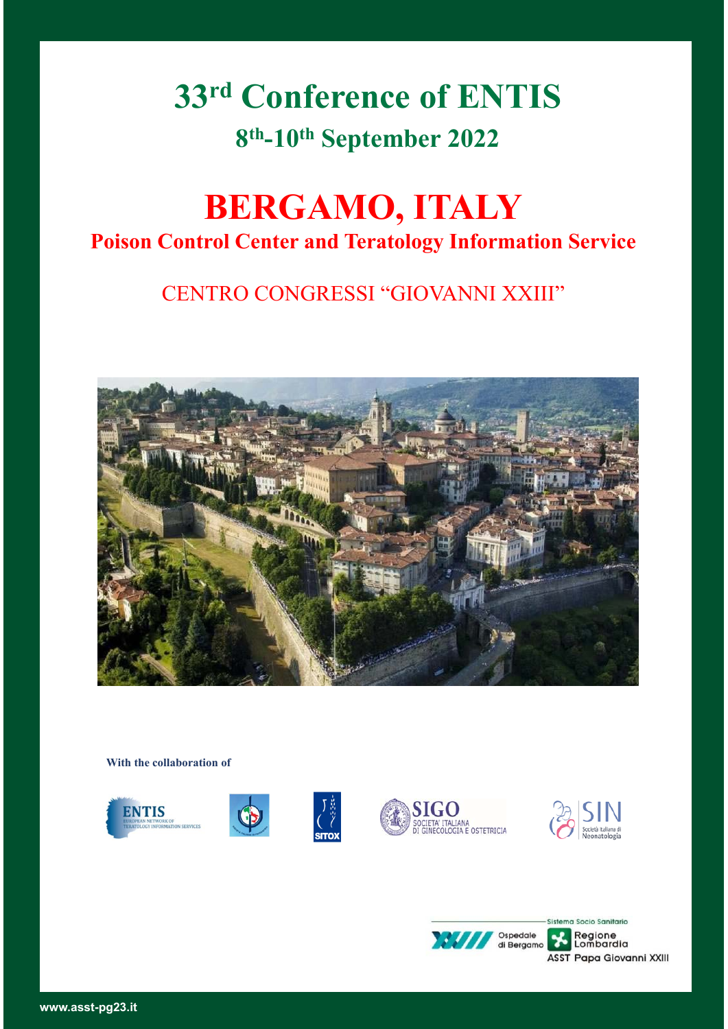# **33rd Conference of ENTIS 8th-10th September 2022**

## **BERGAMO, ITALY Poison Control Center and Teratology Information Service**

### CENTRO CONGRESSI "GIOVANNI XXIII"



**With the collaboration of**



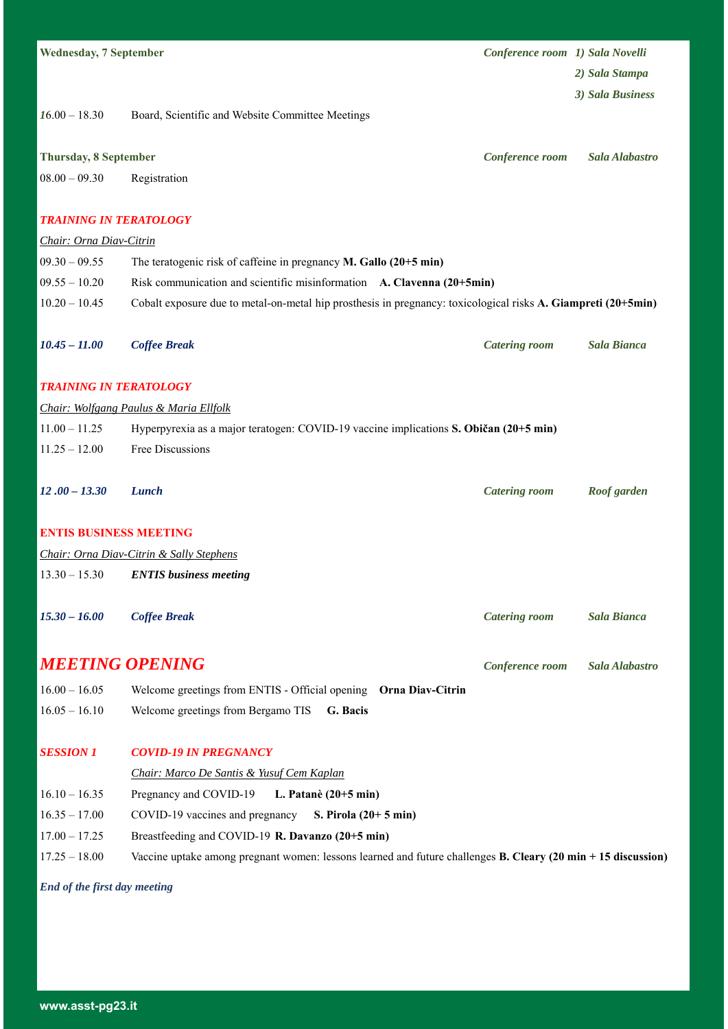| <b>Wednesday, 7 September</b> |                                                                                                               | Conference room 1) Sala Novelli |                    |
|-------------------------------|---------------------------------------------------------------------------------------------------------------|---------------------------------|--------------------|
|                               |                                                                                                               |                                 | 2) Sala Stampa     |
|                               |                                                                                                               |                                 | 3) Sala Business   |
| $16.00 - 18.30$               | Board, Scientific and Website Committee Meetings                                                              |                                 |                    |
|                               |                                                                                                               |                                 |                    |
| <b>Thursday, 8 September</b>  |                                                                                                               | Conference room                 | Sala Alabastro     |
| $08.00 - 09.30$               | Registration                                                                                                  |                                 |                    |
| <b>TRAINING IN TERATOLOGY</b> |                                                                                                               |                                 |                    |
| Chair: Orna Diav-Citrin       |                                                                                                               |                                 |                    |
| $09.30 - 09.55$               | The teratogenic risk of caffeine in pregnancy M. Gallo (20+5 min)                                             |                                 |                    |
| $09.55 - 10.20$               | Risk communication and scientific misinformation A. Clavenna (20+5min)                                        |                                 |                    |
| $10.20 - 10.45$               | Cobalt exposure due to metal-on-metal hip prosthesis in pregnancy: toxicological risks A. Giampreti (20+5min) |                                 |                    |
| $10.45 - 11.00$               | <b>Coffee Break</b>                                                                                           | <b>Catering room</b>            | <b>Sala Bianca</b> |
| <b>TRAINING IN TERATOLOGY</b> |                                                                                                               |                                 |                    |
|                               | Chair: Wolfgang Paulus & Maria Ellfolk                                                                        |                                 |                    |
| $11.00 - 11.25$               | Hyperpyrexia as a major teratogen: COVID-19 vaccine implications S. Običan (20+5 min)                         |                                 |                    |
| $11.25 - 12.00$               | Free Discussions                                                                                              |                                 |                    |
| $12.00 - 13.30$               | Lunch                                                                                                         | <b>Catering room</b>            | Roof garden        |
| <b>ENTIS BUSINESS MEETING</b> |                                                                                                               |                                 |                    |
|                               | Chair: Orna Diav-Citrin & Sally Stephens                                                                      |                                 |                    |
| $13.30 - 15.30$               | <b>ENTIS</b> business meeting                                                                                 |                                 |                    |
| $15.30 - 16.00$               | <b>Coffee Break</b>                                                                                           | <b>Catering room</b>            | <b>Sala Bianca</b> |
| <b>MEETING OPENING</b>        |                                                                                                               | Conference room                 | Sala Alabastro     |
| $16.00 - 16.05$               | Welcome greetings from ENTIS - Official opening Orna Diav-Citrin                                              |                                 |                    |
| $16.05 - 16.10$               | Welcome greetings from Bergamo TIS<br>G. Bacis                                                                |                                 |                    |
| <b>SESSION 1</b>              | <b>COVID-19 IN PREGNANCY</b><br>Chair: Marco De Santis & Yusuf Cem Kaplan                                     |                                 |                    |
| $16.10 - 16.35$               | Pregnancy and COVID-19<br>L. Patanè (20+5 min)                                                                |                                 |                    |
| $16.35 - 17.00$               | COVID-19 vaccines and pregnancy<br>S. Pirola $(20+5 \text{ min})$                                             |                                 |                    |
| $17.00 - 17.25$               | Breastfeeding and COVID-19 R. Davanzo (20+5 min)                                                              |                                 |                    |
| $17.25 - 18.00$               | Vaccine uptake among pregnant women: lessons learned and future challenges B. Cleary (20 min + 15 discussion) |                                 |                    |
|                               |                                                                                                               |                                 |                    |

*End of the first day meeting*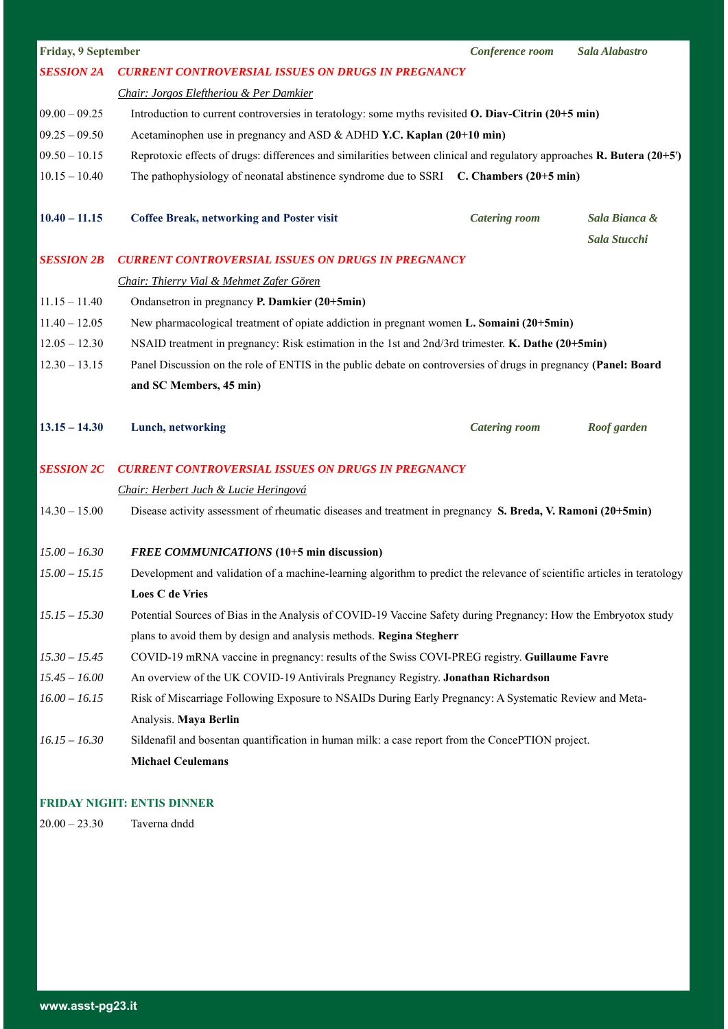| Friday, 9 September |                                                                                                                          | Conference room                                                                                                        | Sala Alabastro                |  |
|---------------------|--------------------------------------------------------------------------------------------------------------------------|------------------------------------------------------------------------------------------------------------------------|-------------------------------|--|
| <b>SESSION 2A</b>   | <b>CURRENT CONTROVERSIAL ISSUES ON DRUGS IN PREGNANCY</b>                                                                |                                                                                                                        |                               |  |
|                     | Chair: Jorgos Eleftheriou & Per Damkier                                                                                  |                                                                                                                        |                               |  |
| $09.00 - 09.25$     | Introduction to current controversies in teratology: some myths revisited O. Diav-Citrin (20+5 min)                      |                                                                                                                        |                               |  |
| $09.25 - 09.50$     |                                                                                                                          | Acetaminophen use in pregnancy and ASD & ADHD Y.C. Kaplan (20+10 min)                                                  |                               |  |
| $09.50 - 10.15$     |                                                                                                                          | Reprotoxic effects of drugs: differences and similarities between clinical and regulatory approaches R. Butera (20+5') |                               |  |
| $10.15 - 10.40$     | The pathophysiology of neonatal abstinence syndrome due to SSRI C. Chambers (20+5 min)                                   |                                                                                                                        |                               |  |
| $10.40 - 11.15$     | <b>Coffee Break, networking and Poster visit</b>                                                                         | <b>Catering room</b>                                                                                                   | Sala Bianca &<br>Sala Stucchi |  |
| <b>SESSION 2B</b>   | <b>CURRENT CONTROVERSIAL ISSUES ON DRUGS IN PREGNANCY</b>                                                                |                                                                                                                        |                               |  |
|                     | Chair: Thierry Vial & Mehmet Zafer Gören                                                                                 |                                                                                                                        |                               |  |
| $11.15 - 11.40$     | Ondansetron in pregnancy P. Damkier (20+5min)                                                                            |                                                                                                                        |                               |  |
| $11.40 - 12.05$     |                                                                                                                          | New pharmacological treatment of opiate addiction in pregnant women L. Somaini (20+5min)                               |                               |  |
| $12.05 - 12.30$     | NSAID treatment in pregnancy: Risk estimation in the 1st and 2nd/3rd trimester. K. Dathe (20+5min)                       |                                                                                                                        |                               |  |
| $12.30 - 13.15$     | Panel Discussion on the role of ENTIS in the public debate on controversies of drugs in pregnancy (Panel: Board          |                                                                                                                        |                               |  |
|                     | and SC Members, 45 min)                                                                                                  |                                                                                                                        |                               |  |
| $13.15 - 14.30$     | Lunch, networking                                                                                                        | <b>Catering room</b>                                                                                                   | Roof garden                   |  |
| <b>SESSION 2C</b>   | <b>CURRENT CONTROVERSIAL ISSUES ON DRUGS IN PREGNANCY</b>                                                                |                                                                                                                        |                               |  |
|                     | Chair: Herbert Juch & Lucie Heringová                                                                                    |                                                                                                                        |                               |  |
| $14.30 - 15.00$     | Disease activity assessment of rheumatic diseases and treatment in pregnancy S. Breda, V. Ramoni (20+5min)               |                                                                                                                        |                               |  |
| $15.00 - 16.30$     | FREE COMMUNICATIONS (10+5 min discussion)                                                                                |                                                                                                                        |                               |  |
| $15.00 - 15.15$     | Development and validation of a machine-learning algorithm to predict the relevance of scientific articles in teratology |                                                                                                                        |                               |  |
|                     | <b>Loes C de Vries</b>                                                                                                   |                                                                                                                        |                               |  |
| $15.15 - 15.30$     | Potential Sources of Bias in the Analysis of COVID-19 Vaccine Safety during Pregnancy: How the Embryotox study           |                                                                                                                        |                               |  |
|                     | plans to avoid them by design and analysis methods. Regina Stegherr                                                      |                                                                                                                        |                               |  |
| $15.30 - 15.45$     | COVID-19 mRNA vaccine in pregnancy: results of the Swiss COVI-PREG registry. Guillaume Favre                             |                                                                                                                        |                               |  |
| $15.45 - 16.00$     | An overview of the UK COVID-19 Antivirals Pregnancy Registry. Jonathan Richardson                                        |                                                                                                                        |                               |  |
| $16.00 - 16.15$     | Risk of Miscarriage Following Exposure to NSAIDs During Early Pregnancy: A Systematic Review and Meta-                   |                                                                                                                        |                               |  |
|                     | Analysis. Maya Berlin                                                                                                    |                                                                                                                        |                               |  |
| $16.15 - 16.30$     | Sildenafil and bosentan quantification in human milk: a case report from the ConcePTION project.                         |                                                                                                                        |                               |  |
|                     | <b>Michael Ceulemans</b>                                                                                                 |                                                                                                                        |                               |  |

### **FRIDAY NIGHT: ENTIS DINNER**

20.00 – 23.30 Taverna dndd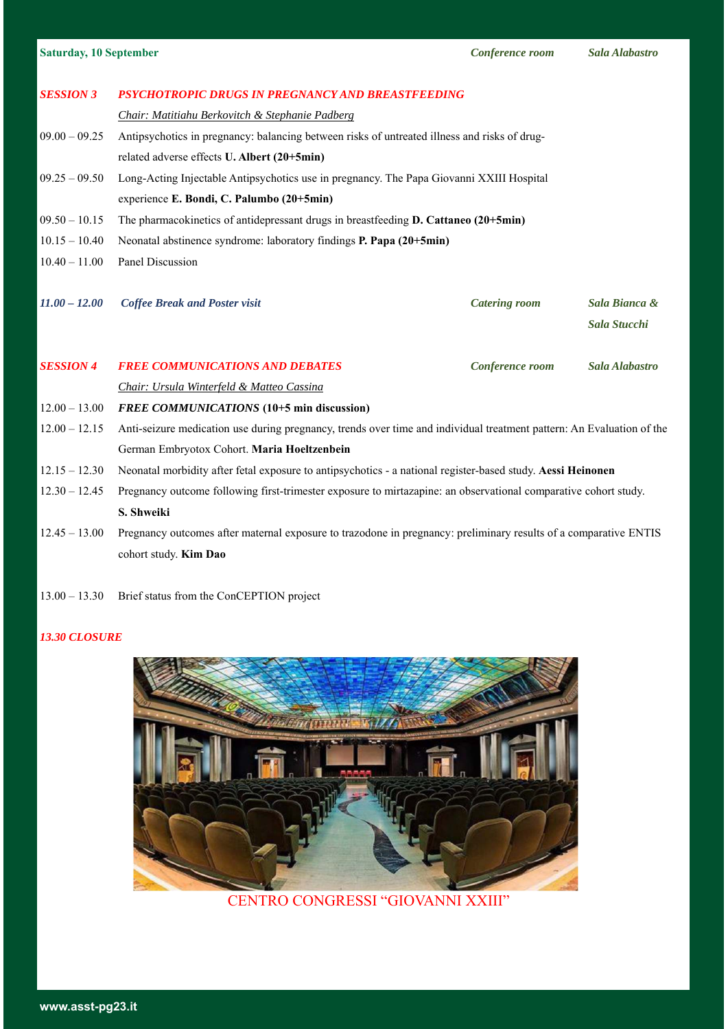| <b>Saturday, 10 September</b> |  |  |  |
|-------------------------------|--|--|--|
|                               |  |  |  |

|  |  |  |  |  | Sala Alabastro |  |
|--|--|--|--|--|----------------|--|
|--|--|--|--|--|----------------|--|

| <b>SESSION 3</b> | PSYCHOTROPIC DRUGS IN PREGNANCY AND BREASTFEEDING                                                                     |                      |                |  |  |
|------------------|-----------------------------------------------------------------------------------------------------------------------|----------------------|----------------|--|--|
|                  | Chair: Matitiahu Berkovitch & Stephanie Padberg                                                                       |                      |                |  |  |
| $09.00 - 09.25$  | Antipsychotics in pregnancy: balancing between risks of untreated illness and risks of drug-                          |                      |                |  |  |
|                  | related adverse effects U. Albert (20+5min)                                                                           |                      |                |  |  |
| $09.25 - 09.50$  | Long-Acting Injectable Antipsychotics use in pregnancy. The Papa Giovanni XXIII Hospital                              |                      |                |  |  |
|                  | experience E. Bondi, C. Palumbo (20+5min)                                                                             |                      |                |  |  |
| $09.50 - 10.15$  | The pharmacokinetics of antidepressant drugs in breastfeeding D. Cattaneo (20+5min)                                   |                      |                |  |  |
| $10.15 - 10.40$  | Neonatal abstinence syndrome: laboratory findings P. Papa (20+5min)                                                   |                      |                |  |  |
| $10.40 - 11.00$  | Panel Discussion                                                                                                      |                      |                |  |  |
|                  |                                                                                                                       |                      |                |  |  |
| $11.00 - 12.00$  | <b>Coffee Break and Poster visit</b>                                                                                  | <b>Catering room</b> | Sala Bianca &  |  |  |
|                  |                                                                                                                       |                      | Sala Stucchi   |  |  |
| <b>SESSION 4</b> | <b>FREE COMMUNICATIONS AND DEBATES</b>                                                                                | Conference room      | Sala Alabastro |  |  |
|                  | Chair: Ursula Winterfeld & Matteo Cassina                                                                             |                      |                |  |  |
| $12.00 - 13.00$  | FREE COMMUNICATIONS (10+5 min discussion)                                                                             |                      |                |  |  |
| $12.00 - 12.15$  | Anti-seizure medication use during pregnancy, trends over time and individual treatment pattern: An Evaluation of the |                      |                |  |  |
|                  | German Embryotox Cohort. Maria Hoeltzenbein                                                                           |                      |                |  |  |
| $12.15 - 12.30$  | Neonatal morbidity after fetal exposure to antipsychotics - a national register-based study. Aessi Heinonen           |                      |                |  |  |
| $12.30 - 12.45$  | Pregnancy outcome following first-trimester exposure to mirtazapine: an observational comparative cohort study.       |                      |                |  |  |
|                  | S. Shweiki                                                                                                            |                      |                |  |  |
| $12.45 - 13.00$  | Pregnancy outcomes after maternal exposure to trazodone in pregnancy: preliminary results of a comparative ENTIS      |                      |                |  |  |
|                  | cohort study. Kim Dao                                                                                                 |                      |                |  |  |
|                  |                                                                                                                       |                      |                |  |  |

13.00 – 13.30 Brief status from the ConCEPTION project

### *13.30 CLOSURE*



CENTRO CONGRESSI "GIOVANNI XXIII"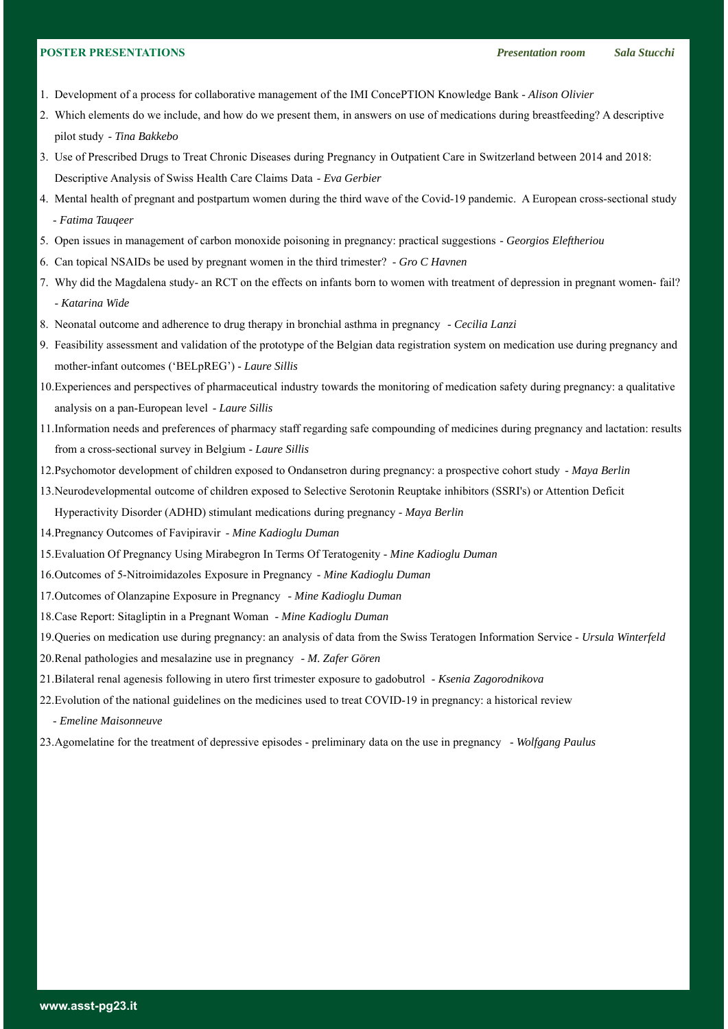- 1. Development of a process for collaborative management of the IMI ConcePTION Knowledge Bank *Alison Olivier*
- 2. Which elements do we include, and how do we present them, in answers on use of medications during breastfeeding? A descriptive pilot study - *Tina Bakkebo*
- 3. Use of Prescribed Drugs to Treat Chronic Diseases during Pregnancy in Outpatient Care in Switzerland between 2014 and 2018: Descriptive Analysis of Swiss Health Care Claims Data - *Eva Gerbier*
- 4. Mental health of pregnant and postpartum women during the third wave of the Covid-19 pandemic. A European cross-sectional study - *Fatima Tauqeer*
- 5. Open issues in management of carbon monoxide poisoning in pregnancy: practical suggestions *Georgios Eleftheriou*
- 6. Can topical NSAIDs be used by pregnant women in the third trimester? *Gro C Havnen*
- 7. Why did the Magdalena study- an RCT on the effects on infants born to women with treatment of depression in pregnant women- fail? - *Katarina Wide*
- 8. Neonatal outcome and adherence to drug therapy in bronchial asthma in pregnancy *Cecilia Lanzi*
- 9. Feasibility assessment and validation of the prototype of the Belgian data registration system on medication use during pregnancy and mother-infant outcomes ('BELpREG') - *Laure Sillis*
- 10.Experiences and perspectives of pharmaceutical industry towards the monitoring of medication safety during pregnancy: a qualitative analysis on a pan-European level - *Laure Sillis*
- 11.Information needs and preferences of pharmacy staff regarding safe compounding of medicines during pregnancy and lactation: results from a cross-sectional survey in Belgium - *Laure Sillis*
- 12.Psychomotor development of children exposed to Ondansetron during pregnancy: a prospective cohort study *Maya Berlin*

13.Neurodevelopmental outcome of children exposed to Selective Serotonin Reuptake inhibitors (SSRI's) or Attention Deficit

Hyperactivity Disorder (ADHD) stimulant medications during pregnancy - *Maya Berlin*

- 14.Pregnancy Outcomes of Favipiravir *Mine Kadioglu Duman*
- 15.Evaluation Of Pregnancy Using Mirabegron In Terms Of Teratogenity *Mine Kadioglu Duman*
- 16.Outcomes of 5-Nitroimidazoles Exposure in Pregnancy *Mine Kadioglu Duman*
- 17.Outcomes of Olanzapine Exposure in Pregnancy *Mine Kadioglu Duman*
- 18.Case Report: Sitagliptin in a Pregnant Woman *Mine Kadioglu Duman*
- 19.Queries on medication use during pregnancy: an analysis of data from the Swiss Teratogen Information Service *Ursula Winterfeld*
- 20.Renal pathologies and mesalazine use in pregnancy *M. Zafer Gören*
- 21.Bilateral renal agenesis following in utero first trimester exposure to gadobutrol *Ksenia Zagorodnikova*
- 22.Evolution of the national guidelines on the medicines used to treat COVID-19 in pregnancy: a historical review
	- *Emeline Maisonneuve*
- 23.Agomelatine for the treatment of depressive episodes preliminary data on the use in pregnancy *Wolfgang Paulus*